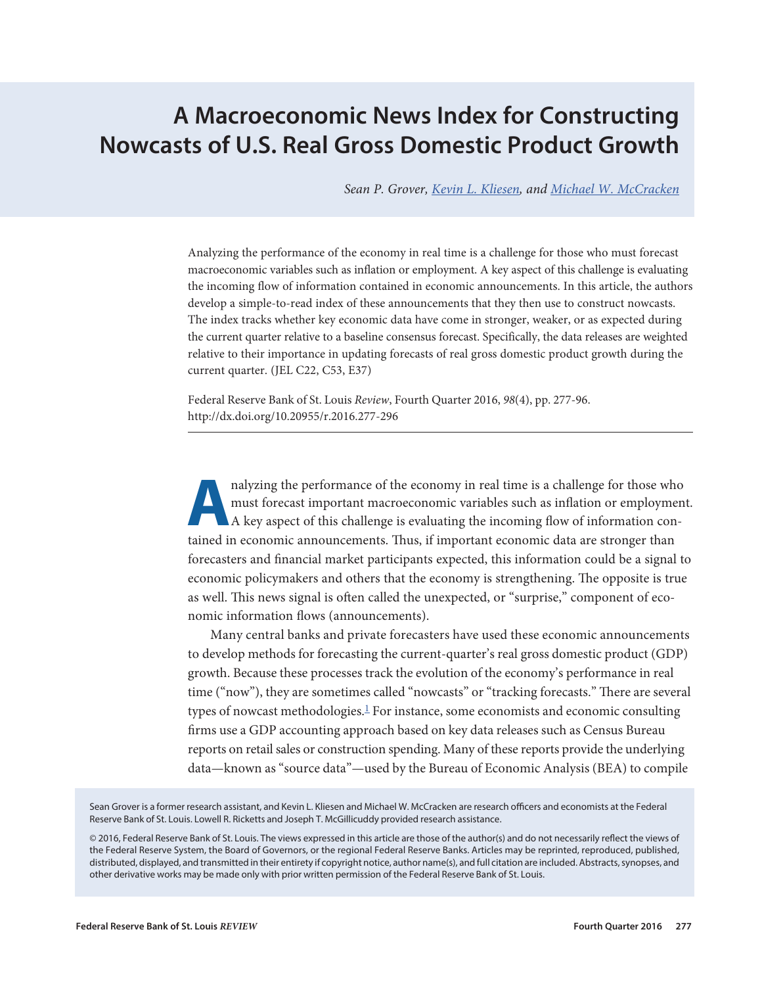# <span id="page-0-0"></span>**A Macroeconomic News Index for Constructing Nowcasts of U.S. Real Gross Domestic Product Growth**

*Sean P. Grover, [Kevin L. Kliesen,](https://research.stlouisfed.org/econ/kliesen/) and [Michael W. McCracken](https://research.stlouisfed.org/econ/mccracken/)*

Analyzing the performance of the economy in real time is a challenge for those who must forecast macroeconomic variables such as inflation or employment. A key aspect of this challenge is evaluating the incoming flow of information contained in economic announcements. In this article, the authors develop a simple-to-read index of these announcements that they then use to construct nowcasts. The index tracks whether key economic data have come in stronger, weaker, or as expected during the current quarter relative to a baseline consensus forecast. Specifically, the data releases are weighted relative to their importance in updating forecasts of real gross domestic product growth during the current quarter. (JEL C22, C53, E37)

Federal Reserve Bank of St. Louis *Review*, Fourth Quarter 2016, *98*(4), pp. 277-96. http://dx.doi.org/10.20955/r.2016.277-296

**A**<br> **A** nalyzing the performance of the economy in real time is a challenge for those who<br> **A** key aspect of this challenge is evaluating the incoming flow of information conmust forecast important macroeconomic variables such as inflation or employment. A key aspect of this challenge is evaluating the incoming flow of information contained in economic announcements. Thus, if important economic data are stronger than forecasters and financial market participants expected, this information could be a signal to economic policymakers and others that the economy is strengthening. The opposite is true as well. This news signal is often called the unexpected, or "surprise," component of economic information flows (announcements).

Many central banks and private forecasters have used these economic announcements to develop methods for forecasting the current-quarter's real gross domestic product (GDP) growth. Because these processes track the evolution of the economy's performance in real time ("now"), they are sometimes called "nowcasts" or "tracking forecasts." There are several types of nowcast methodologies. $\frac{1}{2}$  For instance, some economists and economic consulting firms use a GDP accounting approach based on key data releases such as Census Bureau reports on retail sales or construction spending. Many of these reports provide the underlying data—known as "source data"—used by the Bureau of Economic Analysis (BEA) to compile

Sean Grover is a former research assistant, and Kevin L. Kliesen and Michael W. McCracken are research officers and economists at the Federal Reserve Bank of St. Louis. Lowell R. Ricketts and Joseph T. McGillicuddy provided research assistance.

© 2016, Federal Reserve Bank of St. Louis. The views expressed in this article are those of the author(s) and do not necessarily reflect the views of the Federal Reserve System, the Board of Governors, or the regional Federal Reserve Banks. Articles may be reprinted, reproduced, published, distributed, displayed, and transmitted in their entirety if copyright notice, author name(s), and full citation are included. Abstracts, synopses, and other derivative works may be made only with prior written permission of the Federal Reserve Bank of St. Louis.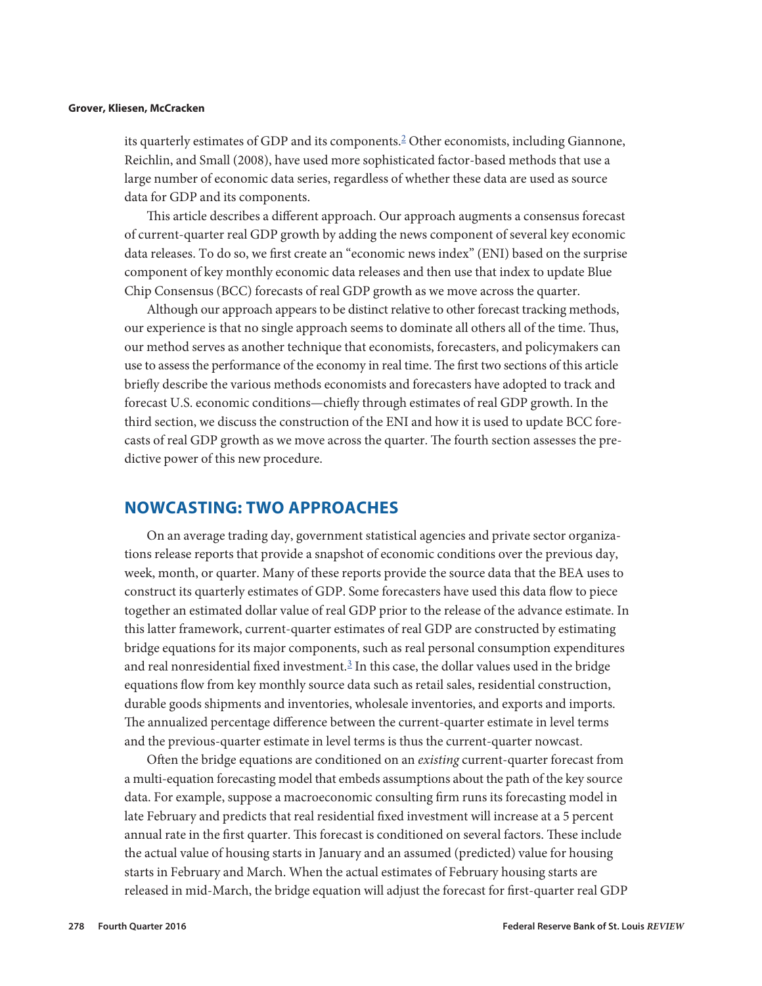<span id="page-1-0"></span>its quarterly estimates of GDP and its components.[2](#page-18-0) Other economists, including Giannone, Reichlin, and Small (2008), have used more sophisticated factor-based methods that use a large number of economic data series, regardless of whether these data are used as source data for GDP and its components.

This article describes a different approach. Our approach augments a consensus forecast of current-quarter real GDP growth by adding the news component of several key economic data releases. To do so, we first create an "economic news index" (ENI) based on the surprise component of key monthly economic data releases and then use that index to update Blue Chip Consensus (BCC) forecasts of real GDP growth as we move across the quarter.

Although our approach appears to be distinct relative to other forecast tracking methods, our experience is that no single approach seems to dominate all others all of the time. Thus, our method serves as another technique that economists, forecasters, and policymakers can use to assess the performance of the economy in real time. The first two sections of this article briefly describe the various methods economists and forecasters have adopted to track and forecast U.S. economic conditions—chiefly through estimates of real GDP growth. In the third section, we discuss the construction of the ENI and how it is used to update BCC forecasts of real GDP growth as we move across the quarter. The fourth section assesses the predictive power of this new procedure.

### **NOWCASTING: TWO APPROACHES**

On an average trading day, government statistical agencies and private sector organizations release reports that provide a snapshot of economic conditions over the previous day, week, month, or quarter. Many of these reports provide the source data that the BEA uses to construct its quarterly estimates of GDP. Some forecasters have used this data flow to piece together an estimated dollar value of real GDP prior to the release of the advance estimate. In this latter framework, current-quarter estimates of real GDP are constructed by estimating bridge equations for its major components, such as real personal consumption expenditures and real nonresidential fixed investment.<sup>3</sup> In this case, the dollar values used in the bridge equations flow from key monthly source data such as retail sales, residential construction, durable goods shipments and inventories, wholesale inventories, and exports and imports. The annualized percentage difference between the current-quarter estimate in level terms and the previous-quarter estimate in level terms is thus the current-quarter nowcast.

Often the bridge equations are conditioned on an *existing* current-quarter forecast from a multi-equation forecasting model that embeds assumptions about the path of the key source data. For example, suppose a macroeconomic consulting firm runs its forecasting model in late February and predicts that real residential fixed investment will increase at a 5 percent annual rate in the first quarter. This forecast is conditioned on several factors. These include the actual value of housing starts in January and an assumed (predicted) value for housing starts in February and March. When the actual estimates of February housing starts are released in mid-March, the bridge equation will adjust the forecast for first-quarter real GDP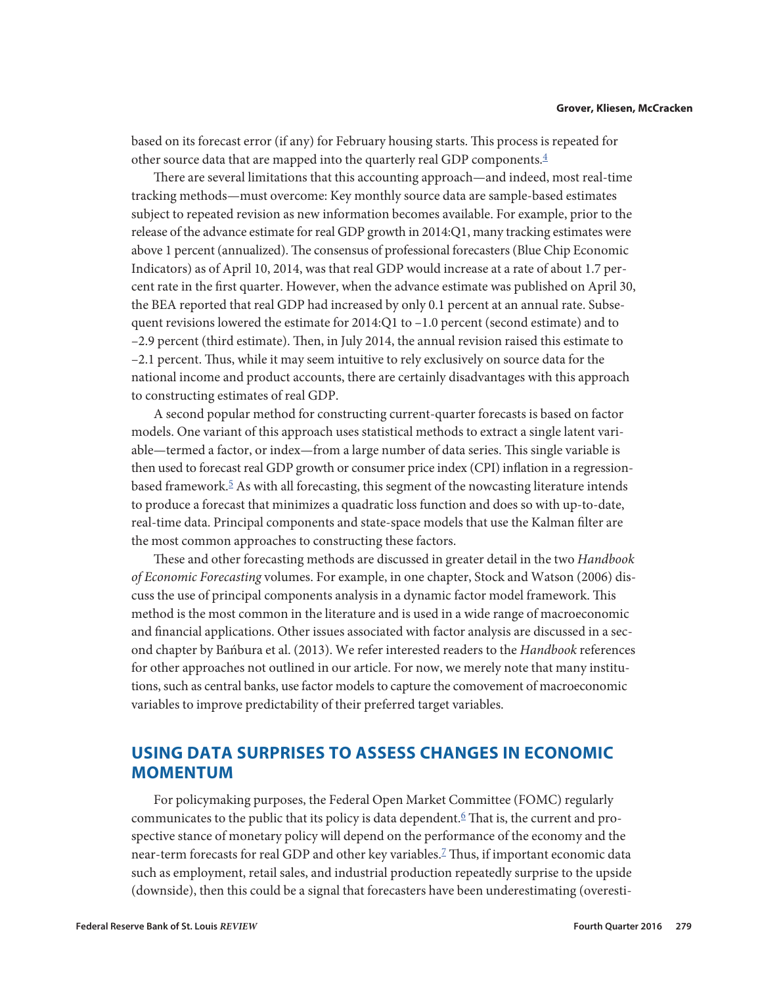<span id="page-2-0"></span>based on its forecast error (if any) for February housing starts. This process is repeated for other source data that are mapped into the quarterly real GDP components.<sup>4</sup>

There are several limitations that this accounting approach—and indeed, most real-time tracking methods—must overcome: Key monthly source data are sample-based estimates subject to repeated revision as new information becomes available. For example, prior to the release of the advance estimate for real GDP growth in 2014:Q1, many tracking estimates were above 1 percent (annualized). The consensus of professional forecasters (Blue Chip Economic Indicators) as of April 10, 2014, was that real GDP would increase at a rate of about 1.7 percent rate in the first quarter. However, when the advance estimate was published on April 30, the BEA reported that real GDP had increased by only 0.1 percent at an annual rate. Subsequent revisions lowered the estimate for 2014:Q1 to –1.0 percent (second estimate) and to –2.9 percent (third estimate). Then, in July 2014, the annual revision raised this estimate to –2.1 percent. Thus, while it may seem intuitive to rely exclusively on source data for the national income and product accounts, there are certainly disadvantages with this approach to constructing estimates of real GDP.

A second popular method for constructing current-quarter forecasts is based on factor models. One variant of this approach uses statistical methods to extract a single latent variable—termed a factor, or index—from a large number of data series. This single variable is then used to forecast real GDP growth or consumer price index (CPI) inflation in a regressionbased framework.<sup>5</sup> As with all forecasting, this segment of the nowcasting literature intends to produce a forecast that minimizes a quadratic loss function and does so with up-to-date, real-time data. Principal components and state-space models that use the Kalman filter are the most common approaches to constructing these factors.

These and other forecasting methods are discussed in greater detail in the two *Handbook of Economic Forecasting* volumes. For example, in one chapter, Stock and Watson (2006) discuss the use of principal components analysis in a dynamic factor model framework. This method is the most common in the literature and is used in a wide range of macroeconomic and financial applications. Other issues associated with factor analysis are discussed in a second chapter by Bańbura et al. (2013). We refer interested readers to the *Handbook* references for other approaches not outlined in our article. For now, we merely note that many institutions, such as central banks, use factor models to capture the comovement of macroeconomic variables to improve predictability of their preferred target variables.

## **USING DATA SURPRISES TO ASSESS CHANGES IN ECONOMIC MOMENTUM**

For policymaking purposes, the Federal Open Market Committee (FOMC) regularly communicates to the public that its policy is data dependent.<sup>6</sup> That is, the current and prospective stance of monetary policy will depend on the performance of the economy and the near-term forecasts for real GDP and other key variables.[7](#page-18-0) Thus, if important economic data such as employment, retail sales, and industrial production repeatedly surprise to the upside (downside), then this could be a signal that forecasters have been underestimating (overesti-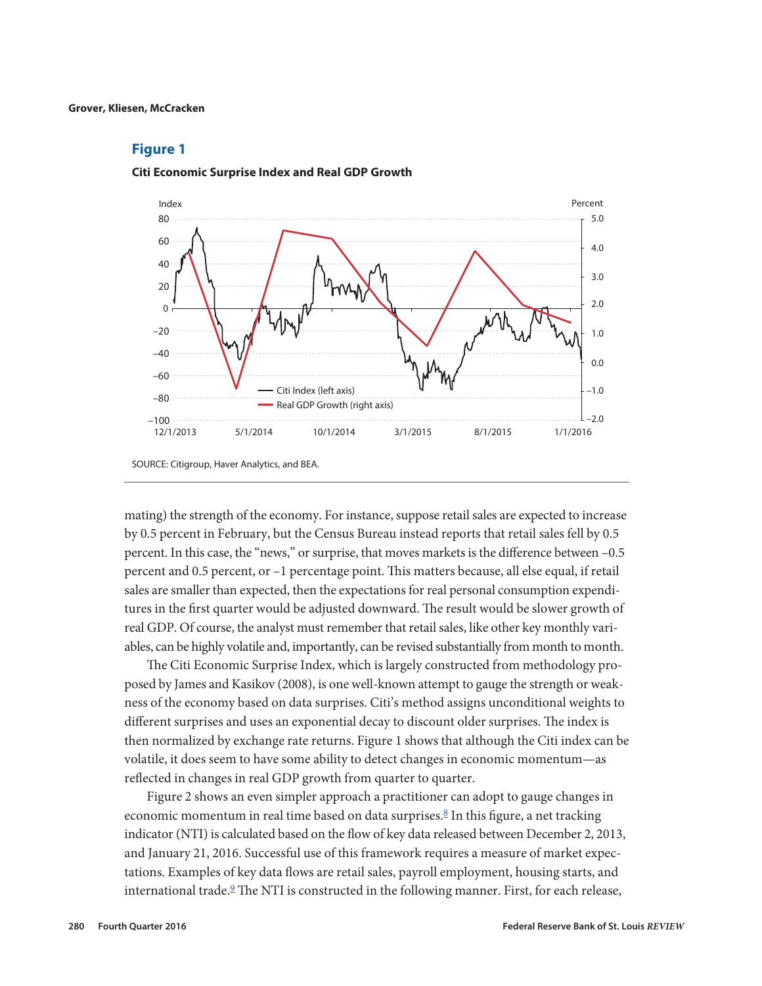

#### <span id="page-3-0"></span>**Citi Economic Surprise Index and Real GDP Growth**

mating) the strength of the economy. For instance, suppose retail sales are expected to increase by 0.5 percent in February, but the Census Bureau instead reports that retail sales fell by 0.5 percent. In this case, the "news," or surprise, that moves markets is the difference between –0.5 percent and 0.5 percent, or –1 percentage point. This matters because, all else equal, if retail sales are smaller than expected, then the expectations for real personal consumption expenditures in the first quarter would be adjusted downward. The result would be slower growth of real GDP. Of course, the analyst must remember that retail sales, like other key monthly variables, can be highly volatile and, importantly, can be revised substantially from month to month.

The Citi Economic Surprise Index, which is largely constructed from methodology proposed by James and Kasikov (2008), is one well-known attempt to gauge the strength or weakness of the economy based on data surprises. Citi's method assigns unconditional weights to different surprises and uses an exponential decay to discount older surprises. The index is then normalized by exchange rate returns. Figure 1 shows that although the Citi index can be volatile, it does seem to have some ability to detect changes in economic momentum—as reflected in changes in real GDP growth from quarter to quarter.

Figure 2 shows an even simpler approach a practitioner can adopt to gauge changes in economic momentum in real time based on data surprises.<sup>8</sup> In this figure, a net tracking indicator (NTI) is calculated based on the flow of key data released between December 2, 2013, and January 21, 2016. Successful use of this framework requires a measure of market expectations. Examples of key data flows are retail sales, payroll employment, housing starts, and international trade. $9$  The NTI is constructed in the following manner. First, for each release,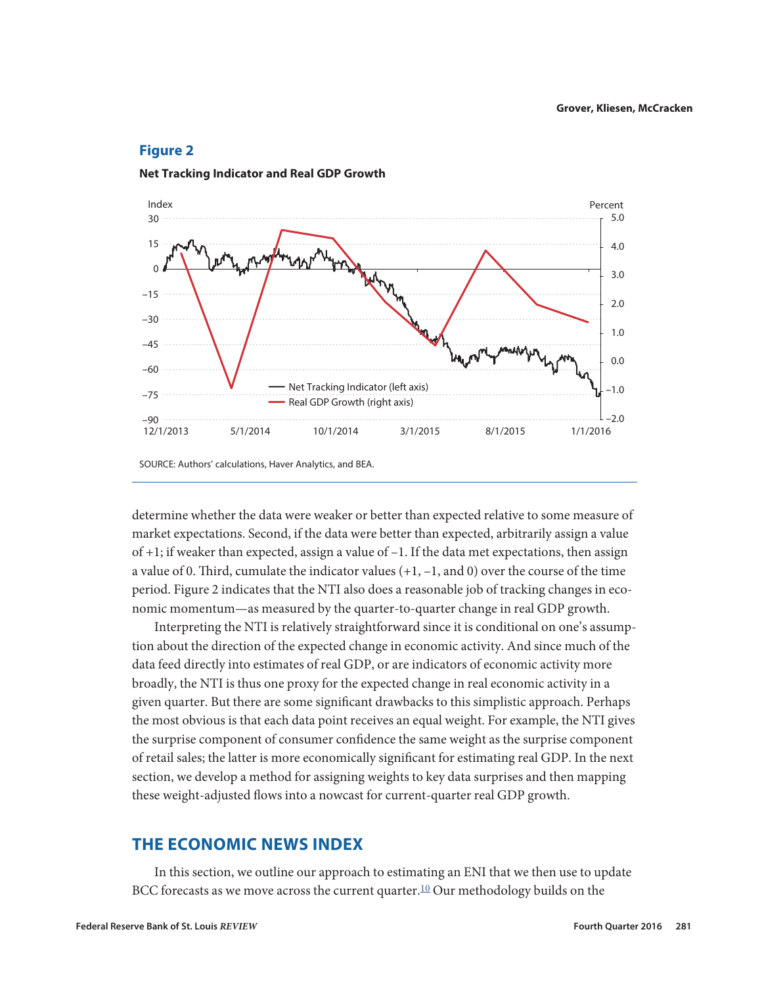

### <span id="page-4-0"></span>**Net Tracking Indicator and Real GDP Growth**

SOURCE: Authors' calculations, Haver Analytics, and BEA.

determine whether the data were weaker or better than expected relative to some measure of market expectations. Second, if the data were better than expected, arbitrarily assign a value of  $+1$ ; if weaker than expected, assign a value of  $-1$ . If the data met expectations, then assign a value of 0. Third, cumulate the indicator values  $(+1, -1, \text{and } 0)$  over the course of the time period. Figure 2 indicates that the NTI also does a reasonable job of tracking changes in economic momentum—as measured by the quarter-to-quarter change in real GDP growth.

Interpreting the NTI is relatively straightforward since it is conditional on one's assumption about the direction of the expected change in economic activity. And since much of the data feed directly into estimates of real GDP, or are indicators of economic activity more broadly, the NTI is thus one proxy for the expected change in real economic activity in a given quarter. But there are some significant drawbacks to this simplistic approach. Perhaps the most obvious is that each data point receives an equal weight. For example, the NTI gives the surprise component of consumer confidence the same weight as the surprise component of retail sales; the latter is more economically significant for estimating real GDP. In the next section, we develop a method for assigning weights to key data surprises and then mapping these weight-adjusted flows into a nowcast for current-quarter real GDP growth.

### **THE ECONOMIC NEWS INDEX**

In this section, we outline our approach to estimating an ENI that we then use to update BCC forecasts as we move across the current quarter.<sup>10</sup> Our methodology builds on the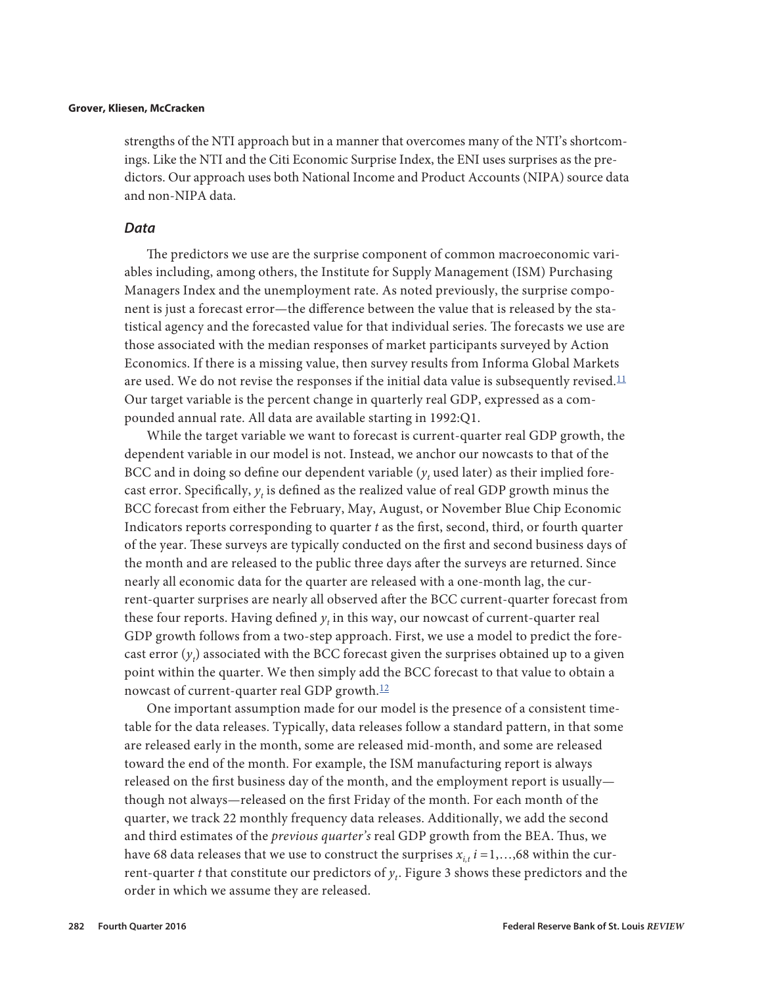<span id="page-5-0"></span>strengths of the NTI approach but in a manner that overcomes many of the NTI's shortcomings. Like the NTI and the Citi Economic Surprise Index, the ENI uses surprises as the predictors. Our approach uses both National Income and Product Accounts (NIPA) source data and non-NIPA data.

### *Data*

The predictors we use are the surprise component of common macroeconomic variables including, among others, the Institute for Supply Management (ISM) Purchasing Managers Index and the unemployment rate. As noted previously, the surprise component is just a forecast error—the difference between the value that is released by the statistical agency and the forecasted value for that individual series. The forecasts we use are those associated with the median responses of market participants surveyed by Action Economics. If there is a missing value, then survey results from Informa Global Markets are used. We do not revise the responses if the initial data value is subsequently revised.<sup>[11](#page-18-0)</sup> Our target variable is the percent change in quarterly real GDP, expressed as a compounded annual rate. All data are available starting in 1992:Q1.

While the target variable we want to forecast is current-quarter real GDP growth, the dependent variable in our model is not. Instead, we anchor our nowcasts to that of the BCC and in doing so define our dependent variable  $(y_t^{\dagger})$  used later) as their implied forecast error. Specifically,  $y_t$  is defined as the realized value of real GDP growth minus the BCC forecast from either the February, May, August, or November Blue Chip Economic Indicators reports corresponding to quarter *t* as the first, second, third, or fourth quarter of the year. These surveys are typically conducted on the first and second business days of the month and are released to the public three days after the surveys are returned. Since nearly all economic data for the quarter are released with a one-month lag, the current-quarter surprises are nearly all observed after the BCC current-quarter forecast from these four reports. Having defined  $y_t$  in this way, our nowcast of current-quarter real GDP growth follows from a two-step approach. First, we use a model to predict the forecast error  $(y_t)$  associated with the BCC forecast given the surprises obtained up to a given point within the quarter. We then simply add the BCC forecast to that value to obtain a nowcast of current-quarter real GDP growth.<sup>[12](#page-18-0)</sup>

One important assumption made for our model is the presence of a consistent timetable for the data releases. Typically, data releases follow a standard pattern, in that some are released early in the month, some are released mid-month, and some are released toward the end of the month. For example, the ISM manufacturing report is always released on the first business day of the month, and the employment report is usually though not always—released on the first Friday of the month. For each month of the quarter, we track 22 monthly frequency data releases. Additionally, we add the second and third estimates of the *previous quarter's* real GDP growth from the BEA. Thus, we have 68 data releases that we use to construct the surprises  $x_i$ ,  $i = 1, \ldots, 68$  within the current-quarter *t* that constitute our predictors of *yt*. Figure 3 shows these predictors and the order in which we assume they are released.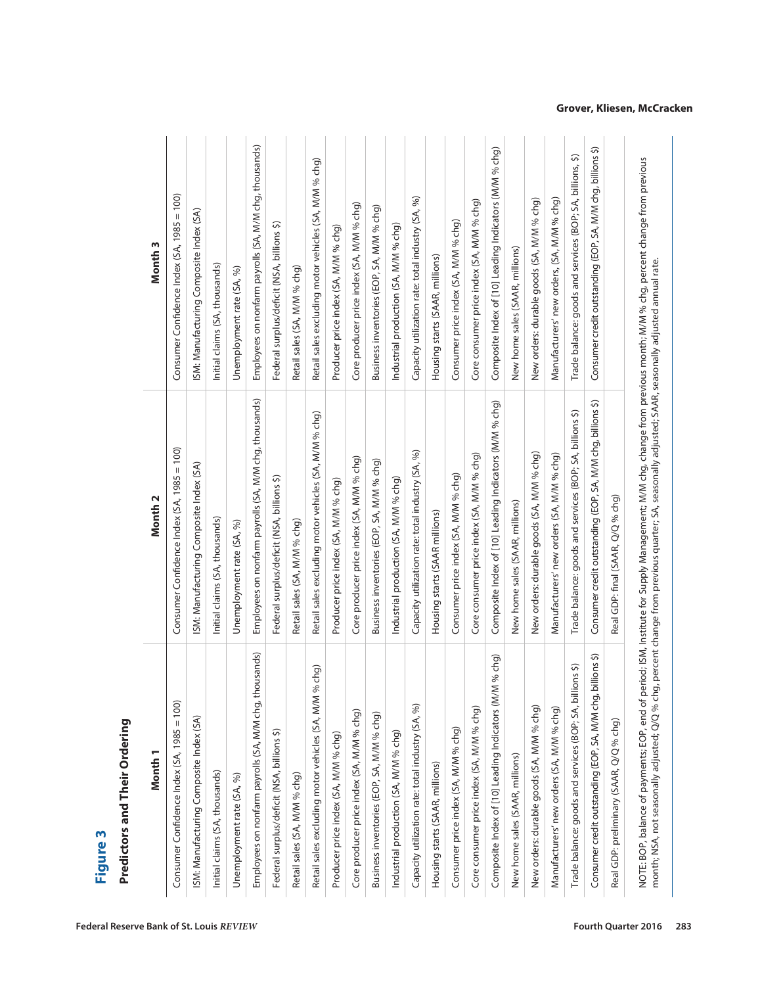| Month <sub>1</sub>                                          | Month <sub>2</sub>                                          | Month <sub>3</sub>                                          |
|-------------------------------------------------------------|-------------------------------------------------------------|-------------------------------------------------------------|
| Consumer Confidence Index (SA, 1985 = 100)                  | Consumer Confidence Index (SA, 1985 = 100)                  | Consumer Confidence Index (SA, 1985 = 100)                  |
| ISM: Manufacturing Composite Index (SA)                     | SM: Manufacturing Composite Index (SA)                      | ISM: Manufacturing Composite Index (SA)                     |
| Initial claims (SA, thousands)                              | Initial claims (SA, thousands)                              | Initial claims (SA, thousands)                              |
| Unemployment rate (SA, %)                                   | Unemployment rate (SA, %)                                   | Unemployment rate (SA, %)                                   |
| Employees on nonfarm payrolls (SA, M/M chg, thousands)      | Employees on nonfarm payrolls (SA, M/M chg, thousands)      | Employees on nonfarm payrolls (SA, M/M chg, thousands)      |
| Federal surplus/deficit (NSA, billions \$)                  | Federal surplus/deficit (NSA, billions \$)                  | Federal surplus/deficit (NSA, billions \$)                  |
| Retail sales (SA, M/M % chg)                                | Retail sales (SA, M/M % chg)                                | Retail sales (SA, M/M % chg)                                |
| M% chg)<br>Retail sales excluding motor vehicles (SA, M,    | Retail sales excluding motor vehicles (SA, M/M % chg)       | Retail sales excluding motor vehicles (SA, M/M % chg)       |
| Producer price index (SA, M/M % chg)                        | Producer price index (SA, M/M % chg)                        | Producer price index (SA, M/M % chg)                        |
| Core producer price index (SA, M/M % chg)                   | Core producer price index (SA, M/M % chg)                   | Core producer price index (SA, M/M % chg)                   |
| Business inventories (EOP, SA, M/M % chg)                   | Business inventories (EOP, SA, M/M % chg)                   | Business inventories (EOP, SA, M/M % chg)                   |
| Industrial production (SA, M/M % chg)                       | Industrial production (SA, M/M % chg)                       | Industrial production (SA, M/M % chg)                       |
| Capacity utilization rate: total industry (SA, %            | Capacity utilization rate: total industry (SA, %)           | Capacity utilization rate: total industry (SA, %)           |
| Housing starts (SAAR, millions)                             | Housing starts (SAAR millions)                              | Housing starts (SAAR, millions)                             |
| Consumer price index (SA, M/M % chg)                        | Consumer price index (SA, M/M % chg)                        | Consumer price index (SA, M/M % chg)                        |
| Core consumer price index (SA, M/M % chg)                   | Core consumer price index (SA, M/M % chg)                   | Core consumer price index (SA, M/M % chg)                   |
| Composite Index of [10] Leading Indicators (M/M % chg)      | Composite Index of [10] Leading Indicators (M/M % chg)      | Composite Index of [10] Leading Indicators (M/M % chg)      |
| New home sales (SAAR, millions)                             | New home sales (SAAR, millions)                             | New home sales (SAAR, millions)                             |
| New orders: durable goods (SA, M/M % chg)                   | New orders: durable goods (SA, M/M % chg)                   | New orders: durable goods (SA, M/M % chg)                   |
| Manufacturers' new orders (SA, M/M % chg)                   | Manufacturers' new orders (SA, M/M % chg)                   | Manufacturers' new orders, (SA, M/M % chg)                  |
| billions \$)<br>Trade balance: goods and services (BOP; SA, | Trade balance: goods and services (BOP; SA, billions \$)    | Trade balance: goods and services (BOP; SA, billions, \$)   |
| Consumer credit outstanding (EOP, SA, M/M chg, billions \$) | Consumer credit outstanding (EOP, SA, M/M chg, billions \$) | Consumer credit outstanding (EOP, SA, M/M chg, billions \$) |
| Real GDP: preliminary (SAAR, Q/Q % chg)                     | Real GDP: final (SAAR, Q/Q % chg)                           |                                                             |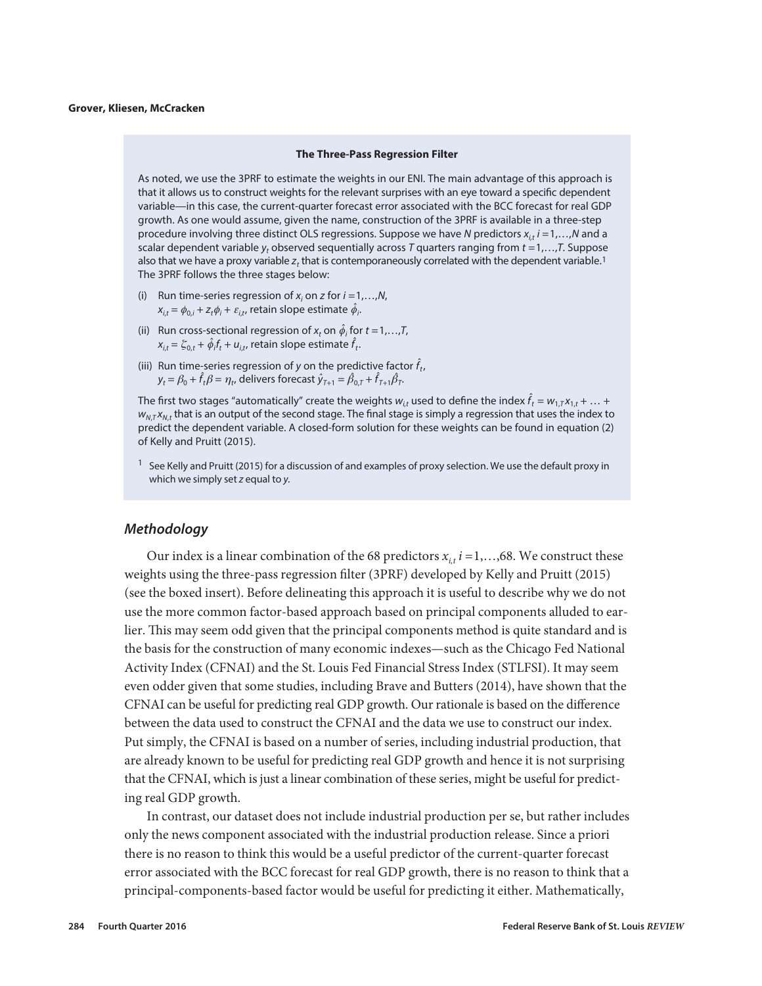#### **The Three-Pass Regression Filter**

As noted, we use the 3PRF to estimate the weights in our ENI. The main advantage of this approach is that it allows us to construct weights for the relevant surprises with an eye toward a specific dependent variable—in this case, the current-quarter forecast error associated with the BCC forecast for real GDP growth. As one would assume, given the name, construction of the 3PRF is available in a three-step procedure involving three distinct OLS regressions. Suppose we have *N* predictors *xi,t i* =1,…,*N* and a scalar dependent variable  $y_t$  observed sequentially across *T* quarters ranging from  $t = 1, \ldots, T$ . Suppose also that we have a proxy variable  $z_t$  that is contemporaneously correlated with the dependent variable.<sup>1</sup> The 3PRF follows the three stages below:

- (i) Run time-series regression of  $x_i$  on *z* for  $i = 1, \ldots, N$ ,  $x_{i,t} = \phi_{0,i} + z_t \phi_i + \varepsilon_{i,t}$ , retain slope estimate  $\hat{\phi}_i$ .
- (ii) Run cross-sectional regression of  $x_t$  on  $\hat{\phi}_i$  for  $t = 1,...,T$ ,  $x_{i,t} = \xi_{0,t} + \hat{\phi}_i f_t + u_{i,t}$ , retain slope estimate  $\hat{f}_t$ .
- (iii) Run time-series regression of *y* on the predictive factor  $\hat{f}_t$ ,  $y_t = \beta_0 + \hat{f}_t \beta = \eta_t$ , delivers forecast  $\hat{y}_{T+1} = \hat{\beta}_{0,T} + \hat{f}_{T+1}\hat{\beta}_T$ .

The first two stages "automatically" create the weights  $w_{i,t}$  used to define the index  $\hat{f}_t = w_{1,T}x_{1,t} + ...$  +  $w_{N,T}x_{N,t}$  that is an output of the second stage. The final stage is simply a regression that uses the index to predict the dependent variable. A closed-form solution for these weights can be found in equation (2) of Kelly and Pruitt (2015).

 $1$  See Kelly and Pruitt (2015) for a discussion of and examples of proxy selection. We use the default proxy in which we simply set *z* equal to *y.*

### *Methodology*

Our index is a linear combination of the 68 predictors  $x_i$ ,  $i = 1, \ldots, 68$ . We construct these weights using the three-pass regression filter (3PRF) developed by Kelly and Pruitt (2015) (see the boxed insert). Before delineating this approach it is useful to describe why we do not use the more common factor-based approach based on principal components alluded to earlier. This may seem odd given that the principal components method is quite standard and is the basis for the construction of many economic indexes—such as the Chicago Fed National Activity Index (CFNAI) and the St. Louis Fed Financial Stress Index (STLFSI). It may seem even odder given that some studies, including Brave and Butters (2014), have shown that the CFNAI can be useful for predicting real GDP growth. Our rationale is based on the difference between the data used to construct the CFNAI and the data we use to construct our index. Put simply, the CFNAI is based on a number of series, including industrial production, that are already known to be useful for predicting real GDP growth and hence it is not surprising that the CFNAI, which is just a linear combination of these series, might be useful for predicting real GDP growth.

In contrast, our dataset does not include industrial production per se, but rather includes only the news component associated with the industrial production release. Since a priori there is no reason to think this would be a useful predictor of the current-quarter forecast error associated with the BCC forecast for real GDP growth, there is no reason to think that a principal-components-based factor would be useful for predicting it either. Mathematically,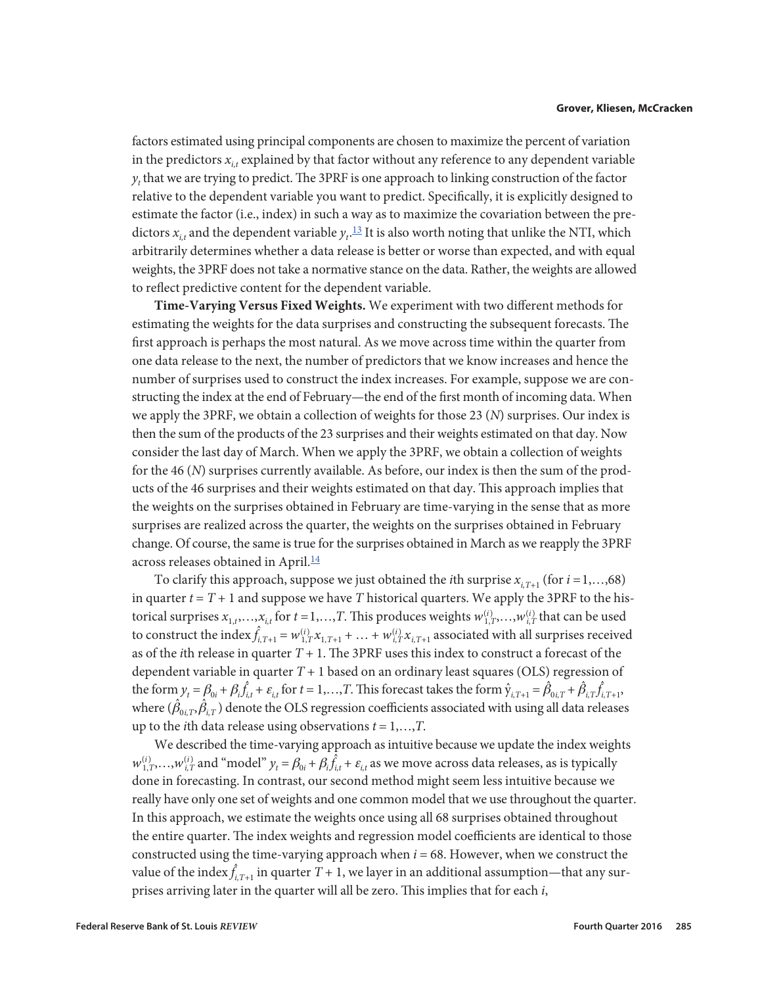<span id="page-8-0"></span>factors estimated using principal components are chosen to maximize the percent of variation in the predictors  $x_i$ , explained by that factor without any reference to any dependent variable  $y_t$  that we are trying to predict. The 3PRF is one approach to linking construction of the factor relative to the dependent variable you want to predict. Specifically, it is explicitly designed to estimate the factor (i.e., index) in such a way as to maximize the covariation between the predictors  $x_{i,t}$  and the dependent variable  $y_t$ .<sup>13</sup> It is also worth noting that unlike the NTI, which arbitrarily determines whether a data release is better or worse than expected, and with equal weights, the 3PRF does not take a normative stance on the data. Rather, the weights are allowed to reflect predictive content for the dependent variable.

**Time-Varying Versus Fixed Weights.** We experiment with two different methods for estimating the weights for the data surprises and constructing the subsequent forecasts. The first approach is perhaps the most natural. As we move across time within the quarter from one data release to the next, the number of predictors that we know increases and hence the number of surprises used to construct the index increases. For example, suppose we are constructing the index at the end of February—the end of the first month of incoming data. When we apply the 3PRF, we obtain a collection of weights for those 23 (*N*) surprises. Our index is then the sum of the products of the 23 surprises and their weights estimated on that day. Now consider the last day of March. When we apply the 3PRF, we obtain a collection of weights for the 46 (*N*) surprises currently available. As before, our index is then the sum of the products of the 46 surprises and their weights estimated on that day. This approach implies that the weights on the surprises obtained in February are time-varying in the sense that as more surprises are realized across the quarter, the weights on the surprises obtained in February change. Of course, the same is true for the surprises obtained in March as we reapply the 3PRF across releases obtained in April.<sup>[14](#page-18-0)</sup>

To clarify this approach, suppose we just obtained the *i*th surprise  $x_{i,T+1}$  (for  $i = 1,...,68$ ) in quarter  $t = T + 1$  and suppose we have  $T$  historical quarters. We apply the 3PRF to the historical surprises  $x_{1,t},...,x_{i,t}$  for  $t=1,...,T$ . This produces weights  $w_{1,T}^{(i)},...,w_{i,T}^{(i)}$  that can be used to construct the index  $\hat{f}_{i,T+1} = w_{1,T}^{(i)} x_{1,T+1} + \ldots + w_{i,T}^{(i)} x_{i,T+1}$  associated with all surprises received as of the *i*th release in quarter  $T + 1$ . The 3PRF uses this index to construct a forecast of the dependent variable in quarter *T* + 1 based on an ordinary least squares (OLS) regression of the form  $y_t = \beta_{0i} + \beta_i \hat{f}_{i,t} + \varepsilon_{i,t}$  for  $t = 1,...,T$ . This forecast takes the form  $\hat{y}_{i,T+1} = \hat{\beta}_{0i,T} + \hat{\beta}_{i,T} \hat{f}_{i,T+1}$ , where  $(\hat{\beta}_{0i,T},\hat{\beta}_{i,T})$  denote the OLS regression coefficients associated with using all data releases up to the *i*th data release using observations *t* = 1,…,*T*.

We described the time-varying approach as intuitive because we update the index weights  $w_{1,T}^{(i)}$ ,..., $w_{i,T}^{(i)}$  and "model"  $y_t = \beta_{0i} + \beta_i \hat{f}_{i,t} + \varepsilon_{i,t}$  as we move across data releases, as is typically done in forecasting. In contrast, our second method might seem less intuitive because we really have only one set of weights and one common model that we use throughout the quarter. In this approach, we estimate the weights once using all 68 surprises obtained throughout the entire quarter. The index weights and regression model coefficients are identical to those constructed using the time-varying approach when *i* = 68. However, when we construct the value of the index $\hat{f}_{i,T+1}$  in quarter  $T$  + 1, we layer in an additional assumption—that any surprises arriving later in the quarter will all be zero. This implies that for each *i*,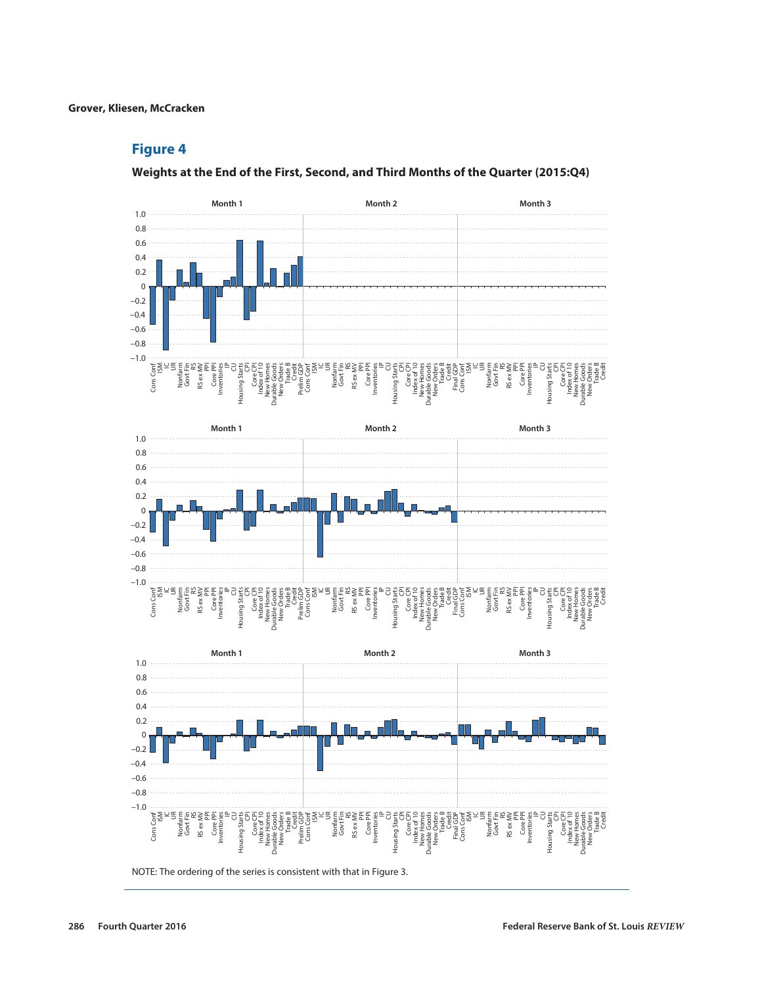### **Figure 4**

**Weights at the End of the First, Second, and Third Months of the Quarter (2015:Q4)**

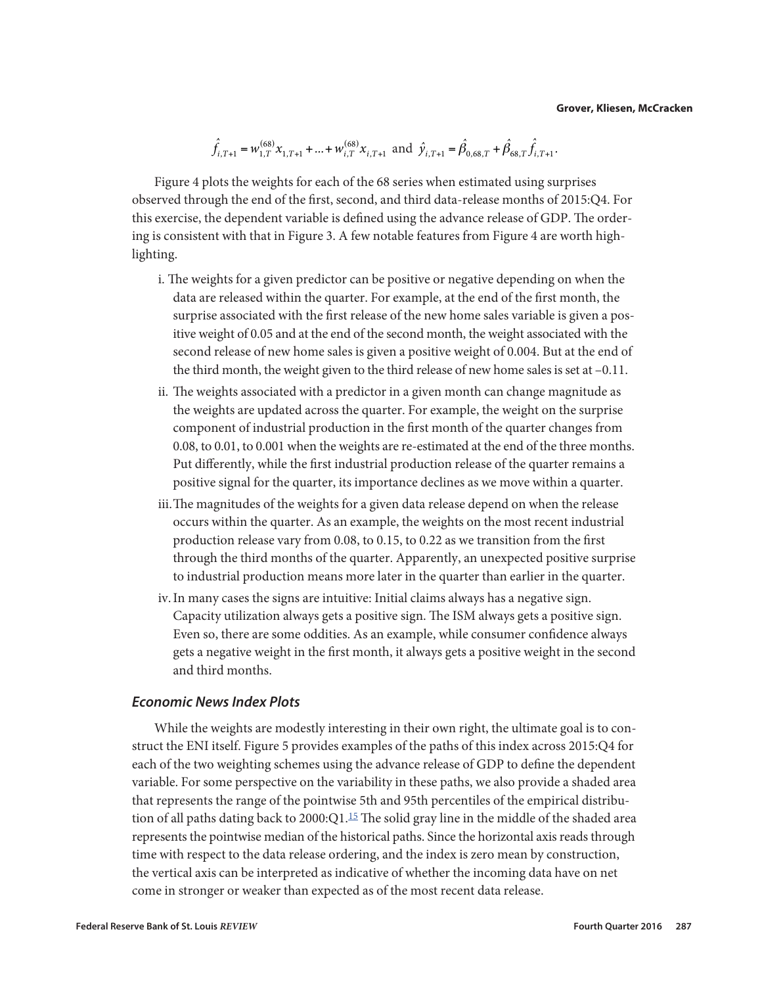$$
\hat{f}_{i,T+1} = w_{1,T}^{(68)} x_{1,T+1} + ... + w_{i,T}^{(68)} x_{i,T+1} \text{ and } \hat{y}_{i,T+1} = \hat{\beta}_{0,68,T} + \hat{\beta}_{68,T} \hat{f}_{i,T+1}.
$$

<span id="page-10-0"></span>Figure 4 plots the weights for each of the 68 series when estimated using surprises observed through the end of the first, second, and third data-release months of 2015:Q4. For this exercise, the dependent variable is defined using the advance release of GDP. The ordering is consistent with that in Figure 3. A few notable features from Figure 4 are worth highlighting.

- i. The weights for a given predictor can be positive or negative depending on when the data are released within the quarter. For example, at the end of the first month, the surprise associated with the first release of the new home sales variable is given a positive weight of 0.05 and at the end of the second month, the weight associated with the second release of new home sales is given a positive weight of 0.004. But at the end of the third month, the weight given to the third release of new home sales is set at –0.11.
- ii. The weights associated with a predictor in a given month can change magnitude as the weights are updated across the quarter. For example, the weight on the surprise component of industrial production in the first month of the quarter changes from 0.08, to 0.01, to 0.001 when the weights are re-estimated at the end of the three months. Put differently, while the first industrial production release of the quarter remains a positive signal for the quarter, its importance declines as we move within a quarter.
- iii.The magnitudes of the weights for a given data release depend on when the release occurs within the quarter. As an example, the weights on the most recent industrial production release vary from 0.08, to 0.15, to 0.22 as we transition from the first through the third months of the quarter. Apparently, an unexpected positive surprise to industrial production means more later in the quarter than earlier in the quarter.
- iv.In many cases the signs are intuitive: Initial claims always has a negative sign. Capacity utilization always gets a positive sign. The ISM always gets a positive sign. Even so, there are some oddities. As an example, while consumer confidence always gets a negative weight in the first month, it always gets a positive weight in the second and third months.

### *Economic News Index Plots*

While the weights are modestly interesting in their own right, the ultimate goal is to construct the ENI itself. Figure 5 provides examples of the paths of this index across 2015:Q4 for each of the two weighting schemes using the advance release of GDP to define the dependent variable. For some perspective on the variability in these paths, we also provide a shaded area that represents the range of the pointwise 5th and 95th percentiles of the empirical distribution of all paths dating back to  $2000:Q1<sup>15</sup>$  The solid gray line in the middle of the shaded area represents the pointwise median of the historical paths. Since the horizontal axis reads through time with respect to the data release ordering, and the index is zero mean by construction, the vertical axis can be interpreted as indicative of whether the incoming data have on net come in stronger or weaker than expected as of the most recent data release.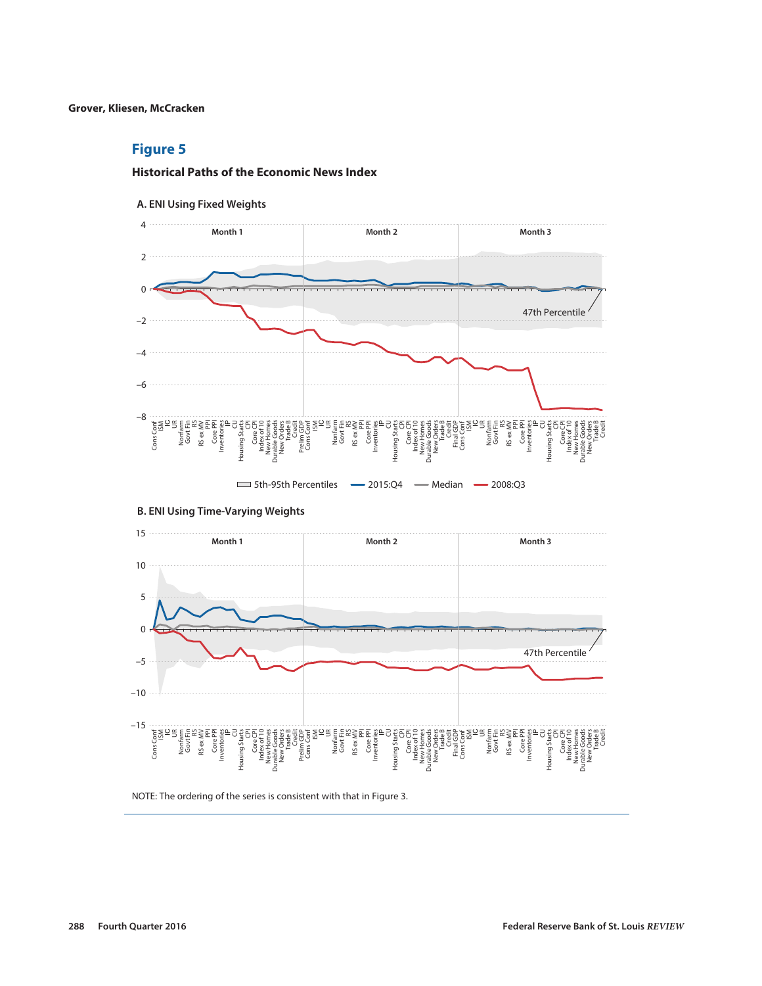### **Figure 5**

### **Historical Paths of the Economic News Index**





### **B. ENI Using Time-Varying Weights**



NOTE: The ordering of the series is consistent with that in Figure 3.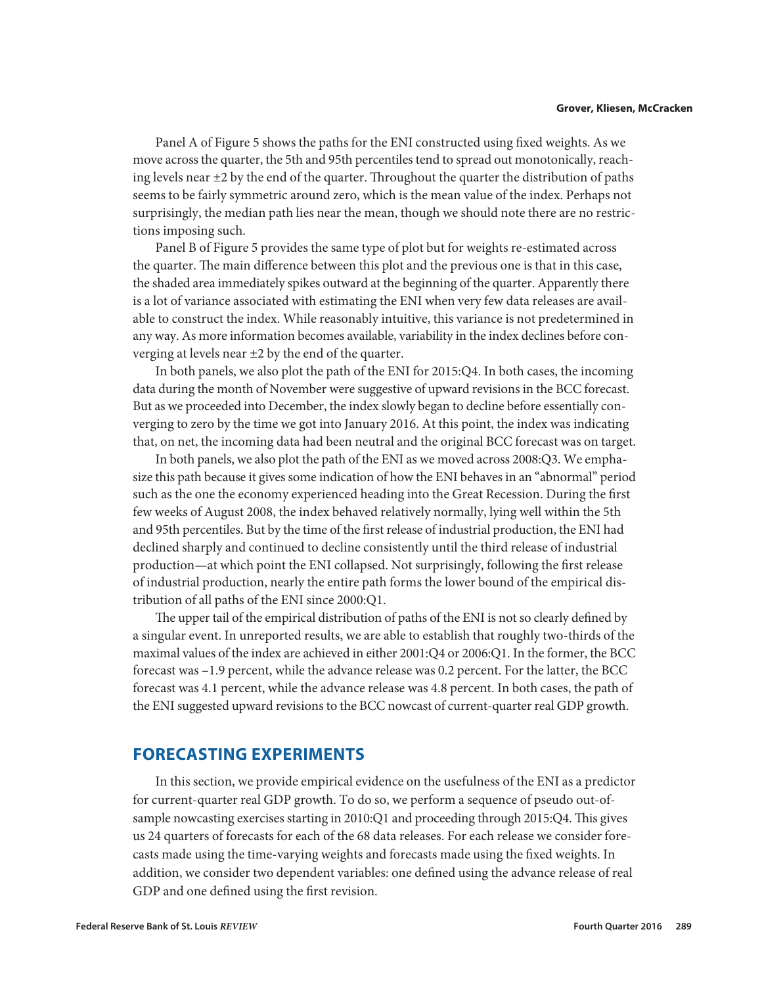Panel A of Figure 5 shows the paths for the ENI constructed using fixed weights. As we move across the quarter, the 5th and 95th percentiles tend to spread out monotonically, reaching levels near  $\pm 2$  by the end of the quarter. Throughout the quarter the distribution of paths seems to be fairly symmetric around zero, which is the mean value of the index. Perhaps not surprisingly, the median path lies near the mean, though we should note there are no restrictions imposing such.

Panel B of Figure 5 provides the same type of plot but for weights re-estimated across the quarter. The main difference between this plot and the previous one is that in this case, the shaded area immediately spikes outward at the beginning of the quarter. Apparently there is a lot of variance associated with estimating the ENI when very few data releases are available to construct the index. While reasonably intuitive, this variance is not predetermined in any way. As more information becomes available, variability in the index declines before converging at levels near ±2 by the end of the quarter.

In both panels, we also plot the path of the ENI for 2015:Q4. In both cases, the incoming data during the month of November were suggestive of upward revisions in the BCC forecast. But as we proceeded into December, the index slowly began to decline before essentially converging to zero by the time we got into January 2016. At this point, the index was indicating that, on net, the incoming data had been neutral and the original BCC forecast was on target.

In both panels, we also plot the path of the ENI as we moved across 2008:Q3. We emphasize this path because it gives some indication of how the ENI behaves in an "abnormal" period such as the one the economy experienced heading into the Great Recession. During the first few weeks of August 2008, the index behaved relatively normally, lying well within the 5th and 95th percentiles. But by the time of the first release of industrial production, the ENI had declined sharply and continued to decline consistently until the third release of industrial production—at which point the ENI collapsed. Not surprisingly, following the first release of industrial production, nearly the entire path forms the lower bound of the empirical distribution of all paths of the ENI since 2000:Q1.

The upper tail of the empirical distribution of paths of the ENI is not so clearly defined by a singular event. In unreported results, we are able to establish that roughly two-thirds of the maximal values of the index are achieved in either 2001:Q4 or 2006:Q1. In the former, the BCC forecast was –1.9 percent, while the advance release was 0.2 percent. For the latter, the BCC forecast was 4.1 percent, while the advance release was 4.8 percent. In both cases, the path of the ENI suggested upward revisions to the BCC nowcast of current-quarter real GDP growth.

### **FORECASTING EXPERIMENTS**

In this section, we provide empirical evidence on the usefulness of the ENI as a predictor for current-quarter real GDP growth. To do so, we perform a sequence of pseudo out-ofsample nowcasting exercises starting in 2010:Q1 and proceeding through 2015:Q4. This gives us 24 quarters of forecasts for each of the 68 data releases. For each release we consider forecasts made using the time-varying weights and forecasts made using the fixed weights. In addition, we consider two dependent variables: one defined using the advance release of real GDP and one defined using the first revision.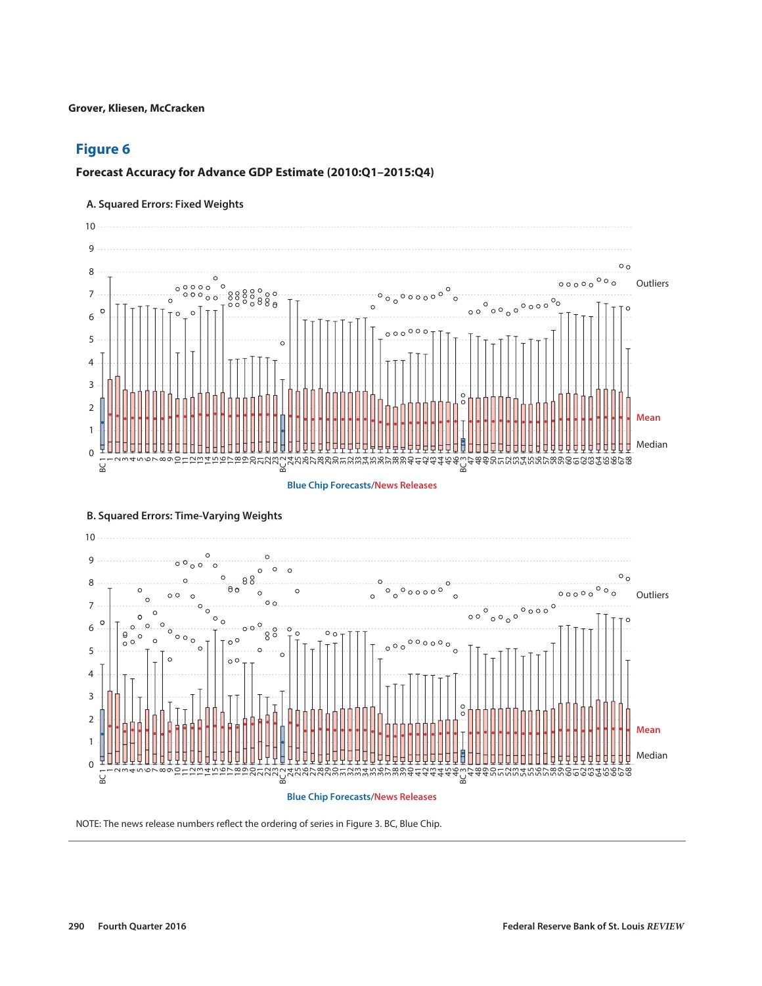### **Figure 6**

### **Forecast Accuracy for Advance GDP Estimate (2010:Q1–2015:Q4)**

### **A. Squared Errors: Fixed Weights**





#### **B. Squared Errors: Time-Varying Weights**

NOTE: The news release numbers reflect the ordering of series in Figure 3. BC, Blue Chip.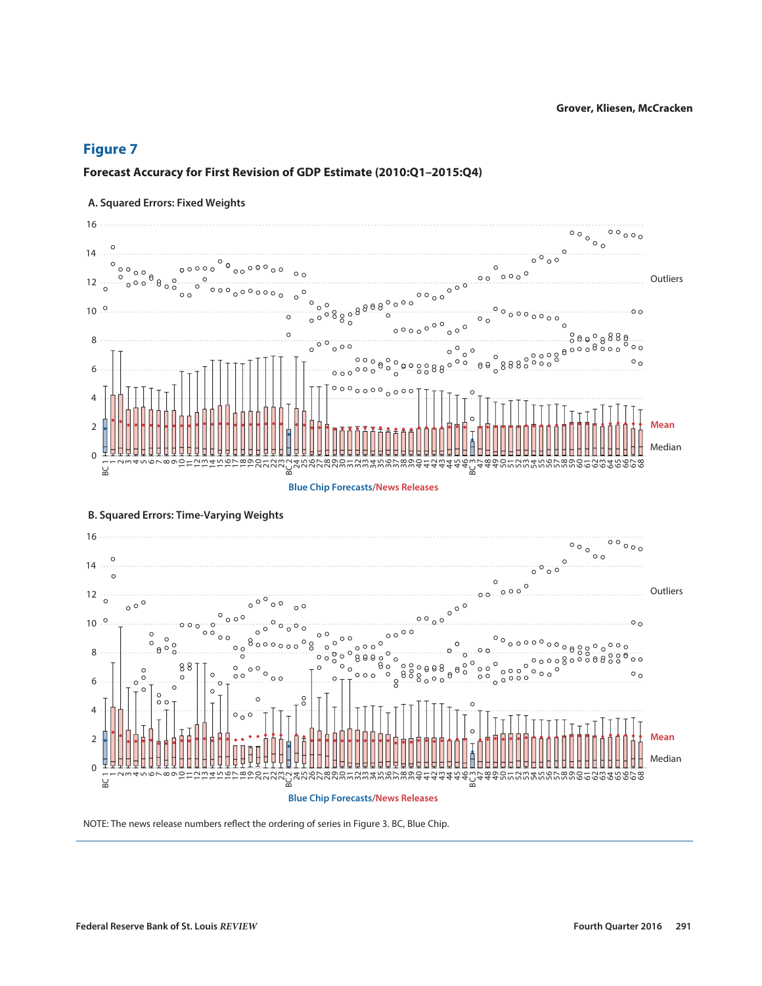### **Forecast Accuracy for First Revision of GDP Estimate (2010:Q1–2015:Q4)**

#### 16  $\circ \circ \circ \circ$  $\circ \circ \circ \circ \circ$  $\circ$ 14  $0^{\circ}0^{\circ}$ 00000  $0000$  $0000$  $\circ$   $\circ$  $\circ$   $\circ$ **Outliers** 12  $\frac{1}{2}$  $8.800$  $10^{9}$  $O$  O  $000000$  $\circ$  $\circ$   $\circ$   $\circ$ 8  $000$  $\circ$   $\circ$  $\begin{smallmatrix}0&&&&0&0\0&0&0&0&0\0&0&0&0&0\end{smallmatrix}$  $\circ$  $\circ$   $\circ$  $\circ$   $\circ$  $\theta$  $\theta$ 888  $000088$ 6  $000$  $0000000$  $0000$ 4 **Mean** 2 Median 0  $\overline{1}$  $\overline{C}$  $\overline{3}$  $\overline{5}$ 6  $\overline{ }$  $\infty$  $\sigma$  $\overline{a}$  $\overline{C}$  $\frac{1}{2}$ 14 15 16 17  $\frac{8}{2}$ 19  $\approx$ 21 22 23 BC 2 24 nghagas nanangnang 41 42 43 44 45 46 BC 3 47 48 49 50 51 52 53 54 55 56 57 58 59 60 61 62 63 64 65 66 67 68 4  $\equiv$ BC 1 **Blue Chip Forecasts**/**News Releases**

### **A. Squared Errors: Fixed Weights**



### **B. Squared Errors: Time-Varying Weights**

NOTE: The news release numbers reflect the ordering of series in Figure 3. BC, Blue Chip.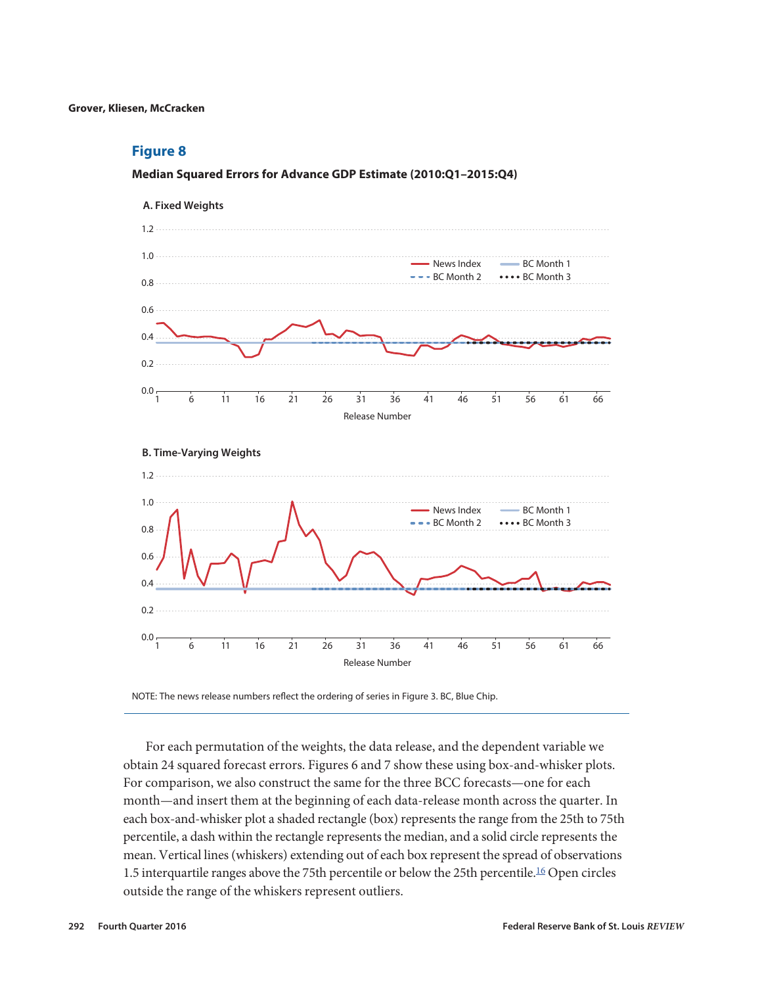#### <span id="page-15-0"></span>**Median Squared Errors for Advance GDP Estimate (2010:Q1–2015:Q4)**



NOTE: The news release numbers reflect the ordering of series in Figure 3. BC, Blue Chip.

For each permutation of the weights, the data release, and the dependent variable we obtain 24 squared forecast errors. Figures 6 and 7 show these using box-and-whisker plots. For comparison, we also construct the same for the three BCC forecasts—one for each month—and insert them at the beginning of each data-release month across the quarter. In each box-and-whisker plot a shaded rectangle (box) represents the range from the 25th to 75th percentile, a dash within the rectangle represents the median, and a solid circle represents the mean. Vertical lines (whiskers) extending out of each box represent the spread of observations 1.5 interquartile ranges above the 75th percentile or below the 25th percentile.<sup>[16](#page-18-0)</sup> Open circles outside the range of the whiskers represent outliers.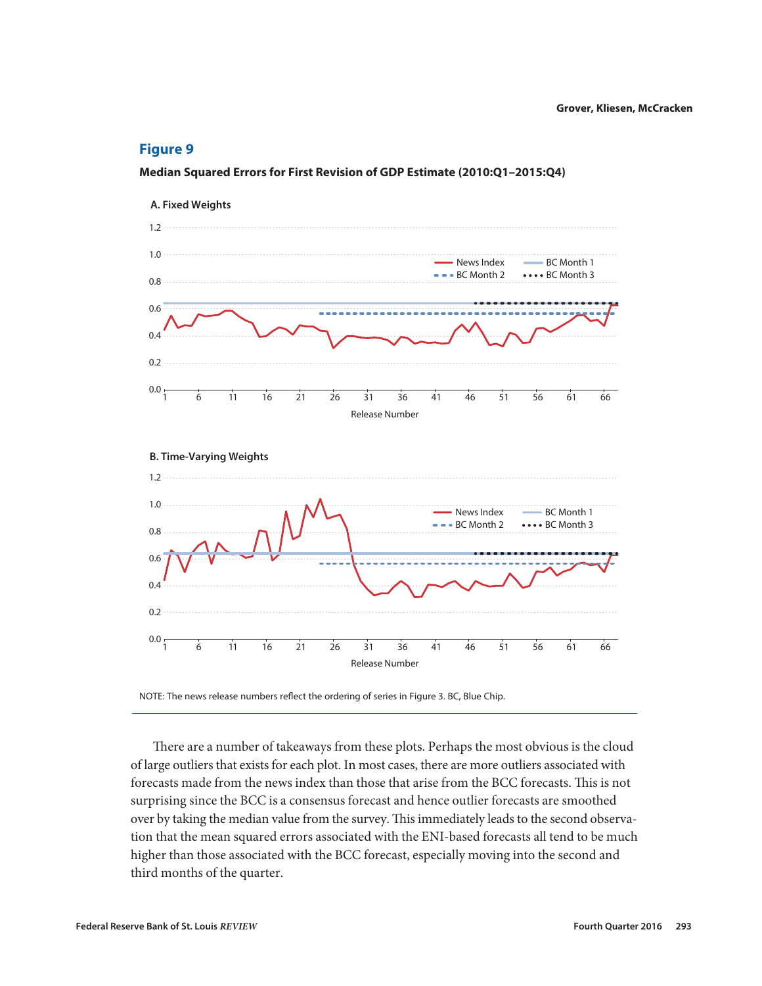### **Median Squared Errors for First Revision of GDP Estimate (2010:Q1–2015:Q4)**



NOTE: The news release numbers reflect the ordering of series in Figure 3. BC, Blue Chip.

There are a number of takeaways from these plots. Perhaps the most obvious is the cloud of large outliers that exists for each plot. In most cases, there are more outliers associated with forecasts made from the news index than those that arise from the BCC forecasts. This is not surprising since the BCC is a consensus forecast and hence outlier forecasts are smoothed over by taking the median value from the survey. This immediately leads to the second observation that the mean squared errors associated with the ENI-based forecasts all tend to be much higher than those associated with the BCC forecast, especially moving into the second and third months of the quarter.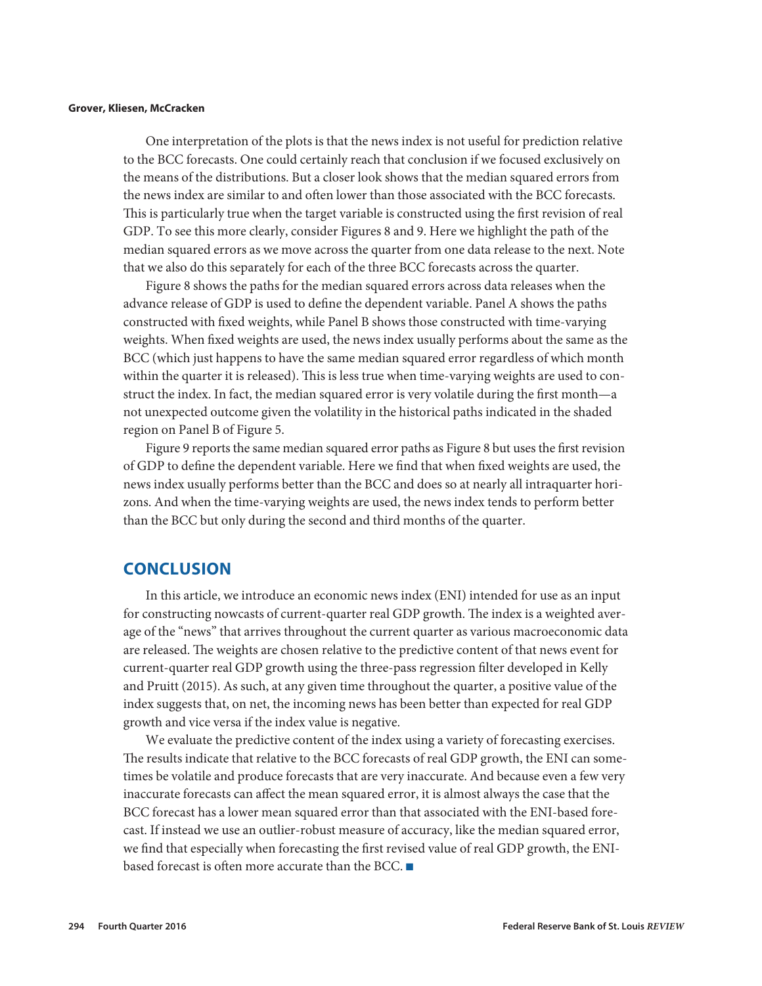One interpretation of the plots is that the news index is not useful for prediction relative to the BCC forecasts. One could certainly reach that conclusion if we focused exclusively on the means of the distributions. But a closer look shows that the median squared errors from the news index are similar to and often lower than those associated with the BCC forecasts. This is particularly true when the target variable is constructed using the first revision of real GDP. To see this more clearly, consider Figures 8 and 9. Here we highlight the path of the median squared errors as we move across the quarter from one data release to the next. Note that we also do this separately for each of the three BCC forecasts across the quarter.

Figure 8 shows the paths for the median squared errors across data releases when the advance release of GDP is used to define the dependent variable. Panel A shows the paths constructed with fixed weights, while Panel B shows those constructed with time-varying weights. When fixed weights are used, the news index usually performs about the same as the BCC (which just happens to have the same median squared error regardless of which month within the quarter it is released). This is less true when time-varying weights are used to construct the index. In fact, the median squared error is very volatile during the first month—a not unexpected outcome given the volatility in the historical paths indicated in the shaded region on Panel B of Figure 5.

Figure 9 reports the same median squared error paths as Figure 8 but uses the first revision of GDP to define the dependent variable. Here we find that when fixed weights are used, the news index usually performs better than the BCC and does so at nearly all intraquarter horizons. And when the time-varying weights are used, the news index tends to perform better than the BCC but only during the second and third months of the quarter.

### **CONCLUSION**

In this article, we introduce an economic news index (ENI) intended for use as an input for constructing nowcasts of current-quarter real GDP growth. The index is a weighted average of the "news" that arrives throughout the current quarter as various macroeconomic data are released. The weights are chosen relative to the predictive content of that news event for current-quarter real GDP growth using the three-pass regression filter developed in Kelly and Pruitt (2015). As such, at any given time throughout the quarter, a positive value of the index suggests that, on net, the incoming news has been better than expected for real GDP growth and vice versa if the index value is negative.

We evaluate the predictive content of the index using a variety of forecasting exercises. The results indicate that relative to the BCC forecasts of real GDP growth, the ENI can sometimes be volatile and produce forecasts that are very inaccurate. And because even a few very inaccurate forecasts can affect the mean squared error, it is almost always the case that the BCC forecast has a lower mean squared error than that associated with the ENI-based forecast. If instead we use an outlier-robust measure of accuracy, like the median squared error, we find that especially when forecasting the first revised value of real GDP growth, the ENIbased forecast is often more accurate than the BCC.  $\blacksquare$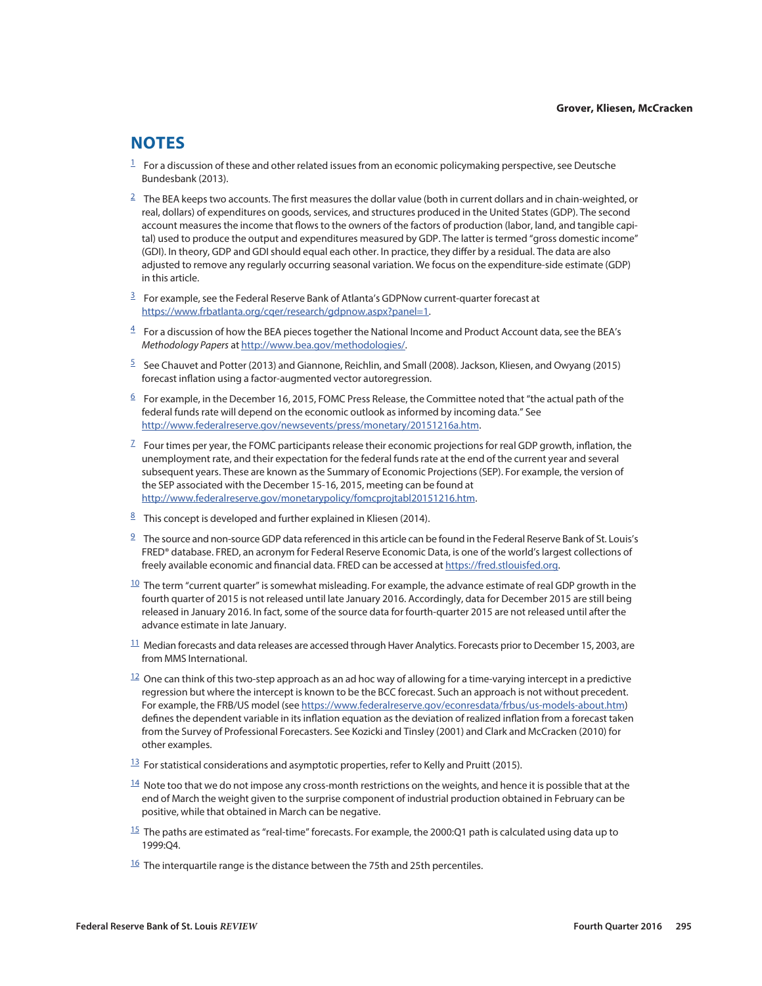## <span id="page-18-0"></span>**NOTES**

- $1$  For a discussion of these and other related issues from an economic policymaking perspective, see Deutsche Bundesbank (2013).
- $2 \text{ The BEA keeps two accounts.}$  $2 \text{ The BEA keeps two accounts.}$  The first measures the dollar value (both in current dollars and in chain-weighted, or real, dollars) of expenditures on goods, services, and structures produced in the United States (GDP). The second account measures the income that flows to the owners of the factors of production (labor, land, and tangible capital) used to produce the output and expenditures measured by GDP. The latter is termed "gross domestic income" (GDI). In theory, GDP and GDI should equal each other. In practice, they differ by a residual. The data are also adjusted to remove any regularly occurring seasonal variation. We focus on the expenditure-side estimate (GDP) in this article.
- $3$  For example, see the Federal Reserve Bank of Atlanta's GDPNow current-quarter forecast at [https://www.frbatlanta.org/cqer/research/gdpnow.aspx?panel=1.](https://www.frbatlanta.org/cqer/research/gdpnow.aspx?panel=1)
- $4$  For a discussion of how the BEA pieces together the National Income and Product Account data, see the BEA's *Methodology Papers* at [http://www.bea.gov/methodologies/.](http://www.bea.gov/methodologies/)
- $5$  See Chauvet and Potter (2013) and Giannone, Reichlin, and Small (2008). Jackson, Kliesen, and Owyang (2015) forecast inflation using a factor-augmented vector autoregression.
- $6$  For example, in the December 16, 2015, FOMC Press Release, the Committee noted that "the actual path of the federal funds rate will depend on the economic outlook as informed by incoming data." See <http://www.federalreserve.gov/newsevents/press/monetary/20151216a.htm>.
- $^7$  $^7$  Four times per year, the FOMC participants release their economic projections for real GDP growth, inflation, the unemployment rate, and their expectation for the federal funds rate at the end of the current year and several subsequent years. These are known as the Summary of Economic Projections (SEP). For example, the version of the SEP associated with the December 15-16, 2015, meeting can be found at [http://www.federalreserve.gov/monetarypolicy/fomcprojtabl20151216.htm.](http://www.federalreserve.gov/monetarypolicy/fomcprojtabl20151216.htm)
- <sup>[8](#page-3-0)</sup> This concept is developed and further explained in Kliesen (2014).
- $9$  The source and non-source GDP data referenced in this article can be found in the Federal Reserve Bank of St. Louis's FRED® database. FRED, an acronym for Federal Reserve Economic Data, is one of the world's largest collections of freely available economic and financial data. FRED can be accessed at [https://fred.stlouisfed.org.](https://fred.stlouisfed.org)
- $10$  The term "current quarter" is somewhat misleading. For example, the advance estimate of real GDP growth in the fourth quarter of 2015 is not released until late January 2016. Accordingly, data for December 2015 are still being released in January 2016. In fact, some of the source data for fourth-quarter 2015 are not released until after the advance estimate in late January.
- $11$  Median forecasts and data releases are accessed through Haver Analytics. Forecasts prior to December 15, 2003, are from MMS International.
- $12$  One can think of this two-step approach as an ad hoc way of allowing for a time-varying intercept in a predictive regression but where the intercept is known to be the BCC forecast. Such an approach is not without precedent. For example, the FRB/US model (see<https://www.federalreserve.gov/econresdata/frbus/us-models-about.htm>) defines the dependent variable in its inflation equation as the deviation of realized inflation from a forecast taken from the Survey of Professional Forecasters. See Kozicki and Tinsley (2001) and Clark and McCracken (2010) for other examples.
- $\frac{13}{2}$  $\frac{13}{2}$  $\frac{13}{2}$  For statistical considerations and asymptotic properties, refer to Kelly and Pruitt (2015).
- $14$  Note too that we do not impose any cross-month restrictions on the weights, and hence it is possible that at the end of March the weight given to the surprise component of industrial production obtained in February can be positive, while that obtained in March can be negative.
- $15$  The paths are estimated as "real-time" forecasts. For example, the 2000:Q1 path is calculated using data up to 1999:Q4.
- $16$  The interquartile range is the distance between the 75th and 25th percentiles.